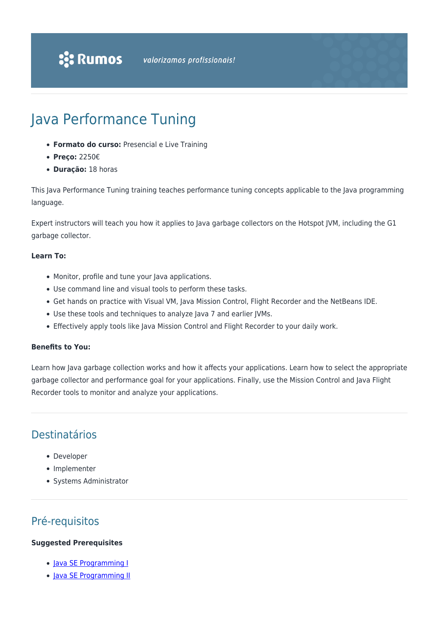# Java Performance Tuning

- **Formato do curso:** Presencial e Live Training
- **Preço:** 2250€
- **Duração:** 18 horas

This Java Performance Tuning training teaches performance tuning concepts applicable to the Java programming language.

Expert instructors will teach you how it applies to Java garbage collectors on the Hotspot JVM, including the G1 garbage collector.

#### **Learn To:**

- Monitor, profile and tune your Java applications.
- Use command line and visual tools to perform these tasks.
- Get hands on practice with Visual VM, Java Mission Control, Flight Recorder and the NetBeans IDE.
- Use these tools and techniques to analyze Java 7 and earlier JVMs.
- Effectively apply tools like Java Mission Control and Flight Recorder to your daily work.

#### **Benefits to You:**

Learn how Java garbage collection works and how it affects your applications. Learn how to select the appropriate garbage collector and performance goal for your applications. Finally, use the Mission Control and Java Flight Recorder tools to monitor and analyze your applications.

# Destinatários

- Developer
- Implementer
- Systems Administrator

# Pré-requisitos

#### **Suggested Prerequisites**

- [Java SE Programming I](https://rumos.pt/curso/java-se-programming-i-presencial/)
- [Java SE Programming II](https://rumos.pt/curso/java-se-programming-ii-presencial/)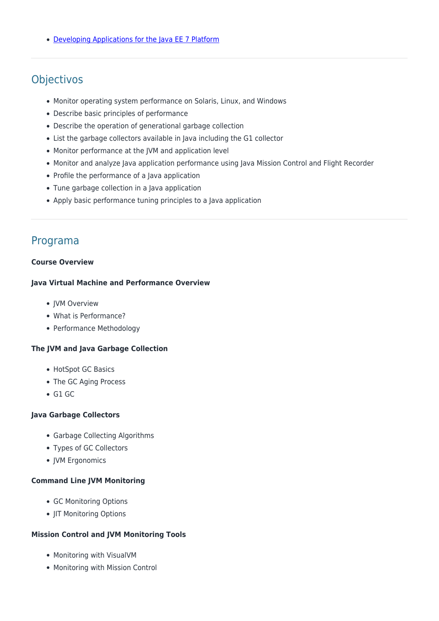• [Developing Applications for the Java EE 7 Platform](https://rumos.pt/curso/developing-applications-for-the-java-ee-7-platform-presencial/)

# **Objectivos**

- Monitor operating system performance on Solaris, Linux, and Windows
- Describe basic principles of performance
- Describe the operation of generational garbage collection
- List the garbage collectors available in Java including the G1 collector
- Monitor performance at the JVM and application level
- Monitor and analyze Java application performance using Java Mission Control and Flight Recorder
- Profile the performance of a Java application
- Tune garbage collection in a Java application
- Apply basic performance tuning principles to a Java application

# Programa

#### **Course Overview**

#### **Java Virtual Machine and Performance Overview**

- IVM Overview
- What is Performance?
- Performance Methodology

#### **The JVM and Java Garbage Collection**

- HotSpot GC Basics
- The GC Aging Process
- $\bullet$  G1 GC

#### **Java Garbage Collectors**

- Garbage Collecting Algorithms
- Types of GC Collectors
- JVM Ergonomics

#### **Command Line JVM Monitoring**

- GC Monitoring Options
- JIT Monitoring Options

#### **Mission Control and JVM Monitoring Tools**

- Monitoring with VisualVM
- Monitoring with Mission Control